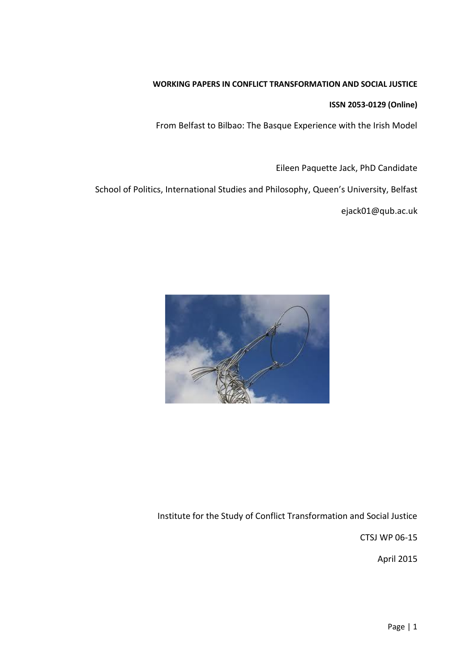# **WORKING PAPERS IN CONFLICT TRANSFORMATION AND SOCIAL JUSTICE**

## **ISSN 2053-0129 (Online)**

From Belfast to Bilbao: The Basque Experience with the Irish Model

Eileen Paquette Jack, PhD Candidate

School of Politics, International Studies and Philosophy, Queen's University, Belfast

ejack01@qub.ac.uk



Institute for the Study of Conflict Transformation and Social Justice

CTSJ WP 06-15

April 2015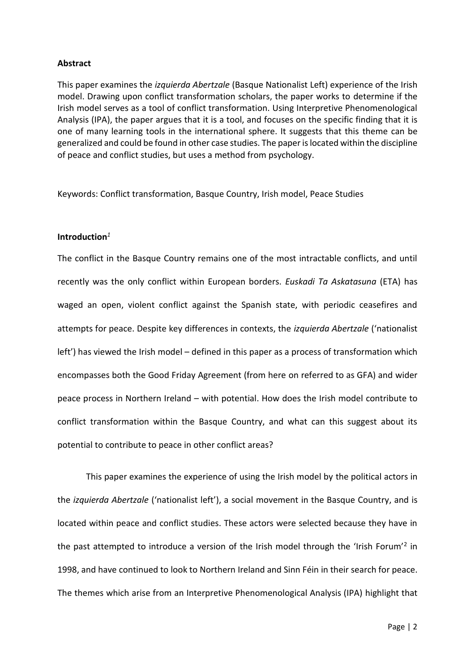## **Abstract**

This paper examines the *izquierda Abertzale* (Basque Nationalist Left) experience of the Irish model. Drawing upon conflict transformation scholars, the paper works to determine if the Irish model serves as a tool of conflict transformation. Using Interpretive Phenomenological Analysis (IPA), the paper argues that it is a tool, and focuses on the specific finding that it is one of many learning tools in the international sphere. It suggests that this theme can be generalized and could be found in other case studies. The paper is located within the discipline of peace and conflict studies, but uses a method from psychology.

Keywords: Conflict transformation, Basque Country, Irish model, Peace Studies

# **Introduction***<sup>1</sup>*

The conflict in the Basque Country remains one of the most intractable conflicts, and until recently was the only conflict within European borders. *Euskadi Ta Askatasuna* (ETA) has waged an open, violent conflict against the Spanish state, with periodic ceasefires and attempts for peace. Despite key differences in contexts, the *izquierda Abertzale* ('nationalist left') has viewed the Irish model – defined in this paper as a process of transformation which encompasses both the Good Friday Agreement (from here on referred to as GFA) and wider peace process in Northern Ireland – with potential. How does the Irish model contribute to conflict transformation within the Basque Country, and what can this suggest about its potential to contribute to peace in other conflict areas?

This paper examines the experience of using the Irish model by the political actors in the *izquierda Abertzale* ('nationalist left'), a social movement in the Basque Country, and is located within peace and conflict studies. These actors were selected because they have in the past attempted to introduce a version of the Irish model through the 'Irish Forum'<sup>2</sup> in 1998, and have continued to look to Northern Ireland and Sinn Féin in their search for peace. The themes which arise from an Interpretive Phenomenological Analysis (IPA) highlight that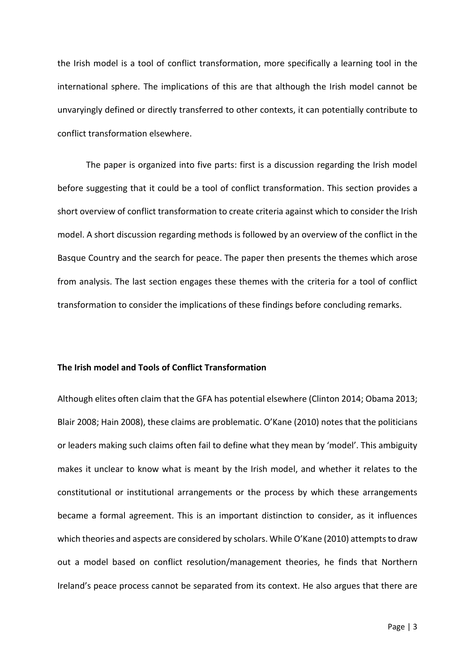the Irish model is a tool of conflict transformation, more specifically a learning tool in the international sphere. The implications of this are that although the Irish model cannot be unvaryingly defined or directly transferred to other contexts, it can potentially contribute to conflict transformation elsewhere.

The paper is organized into five parts: first is a discussion regarding the Irish model before suggesting that it could be a tool of conflict transformation. This section provides a short overview of conflict transformation to create criteria against which to consider the Irish model. A short discussion regarding methods is followed by an overview of the conflict in the Basque Country and the search for peace. The paper then presents the themes which arose from analysis. The last section engages these themes with the criteria for a tool of conflict transformation to consider the implications of these findings before concluding remarks.

## **The Irish model and Tools of Conflict Transformation**

Although elites often claim that the GFA has potential elsewhere (Clinton 2014; Obama 2013; Blair 2008; Hain 2008), these claims are problematic. O'Kane (2010) notes that the politicians or leaders making such claims often fail to define what they mean by 'model'. This ambiguity makes it unclear to know what is meant by the Irish model, and whether it relates to the constitutional or institutional arrangements or the process by which these arrangements became a formal agreement. This is an important distinction to consider, as it influences which theories and aspects are considered by scholars. While O'Kane (2010) attempts to draw out a model based on conflict resolution/management theories, he finds that Northern Ireland's peace process cannot be separated from its context. He also argues that there are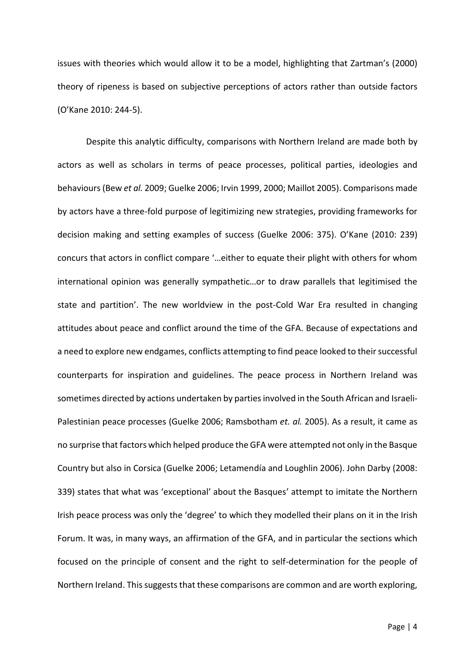issues with theories which would allow it to be a model, highlighting that Zartman's (2000) theory of ripeness is based on subjective perceptions of actors rather than outside factors (O'Kane 2010: 244-5).

Despite this analytic difficulty, comparisons with Northern Ireland are made both by actors as well as scholars in terms of peace processes, political parties, ideologies and behaviours (Bew *et al.* 2009; Guelke 2006; Irvin 1999, 2000; Maillot 2005). Comparisons made by actors have a three-fold purpose of legitimizing new strategies, providing frameworks for decision making and setting examples of success (Guelke 2006: 375). O'Kane (2010: 239) concurs that actors in conflict compare '…either to equate their plight with others for whom international opinion was generally sympathetic…or to draw parallels that legitimised the state and partition'. The new worldview in the post-Cold War Era resulted in changing attitudes about peace and conflict around the time of the GFA. Because of expectations and a need to explore new endgames, conflicts attempting to find peace looked to their successful counterparts for inspiration and guidelines. The peace process in Northern Ireland was sometimes directed by actions undertaken by parties involved in the South African and Israeli-Palestinian peace processes (Guelke 2006; Ramsbotham *et. al.* 2005). As a result, it came as no surprise that factors which helped produce the GFA were attempted not only in the Basque Country but also in Corsica (Guelke 2006; Letamendía and Loughlin 2006). John Darby (2008: 339) states that what was 'exceptional' about the Basques' attempt to imitate the Northern Irish peace process was only the 'degree' to which they modelled their plans on it in the Irish Forum. It was, in many ways, an affirmation of the GFA, and in particular the sections which focused on the principle of consent and the right to self-determination for the people of Northern Ireland. This suggests that these comparisons are common and are worth exploring,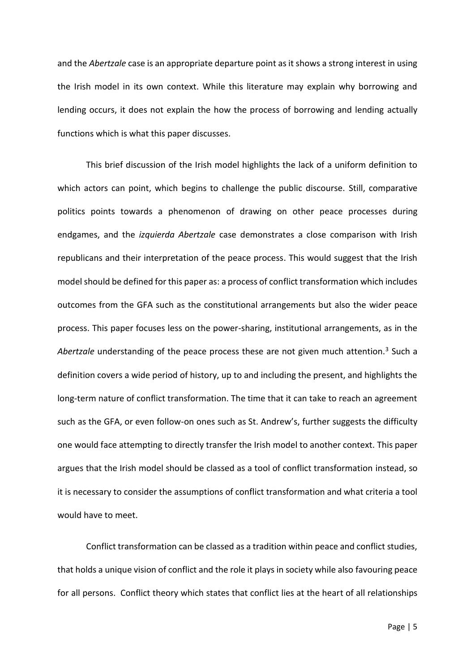and the *Abertzale* case is an appropriate departure point as it shows a strong interest in using the Irish model in its own context. While this literature may explain why borrowing and lending occurs, it does not explain the how the process of borrowing and lending actually functions which is what this paper discusses.

This brief discussion of the Irish model highlights the lack of a uniform definition to which actors can point, which begins to challenge the public discourse. Still, comparative politics points towards a phenomenon of drawing on other peace processes during endgames, and the *izquierda Abertzale* case demonstrates a close comparison with Irish republicans and their interpretation of the peace process. This would suggest that the Irish model should be defined for this paper as: a process of conflict transformation which includes outcomes from the GFA such as the constitutional arrangements but also the wider peace process. This paper focuses less on the power-sharing, institutional arrangements, as in the *Abertzale* understanding of the peace process these are not given much attention.<sup>3</sup> Such a definition covers a wide period of history, up to and including the present, and highlights the long-term nature of conflict transformation. The time that it can take to reach an agreement such as the GFA, or even follow-on ones such as St. Andrew's, further suggests the difficulty one would face attempting to directly transfer the Irish model to another context. This paper argues that the Irish model should be classed as a tool of conflict transformation instead, so it is necessary to consider the assumptions of conflict transformation and what criteria a tool would have to meet.

Conflict transformation can be classed as a tradition within peace and conflict studies, that holds a unique vision of conflict and the role it plays in society while also favouring peace for all persons. Conflict theory which states that conflict lies at the heart of all relationships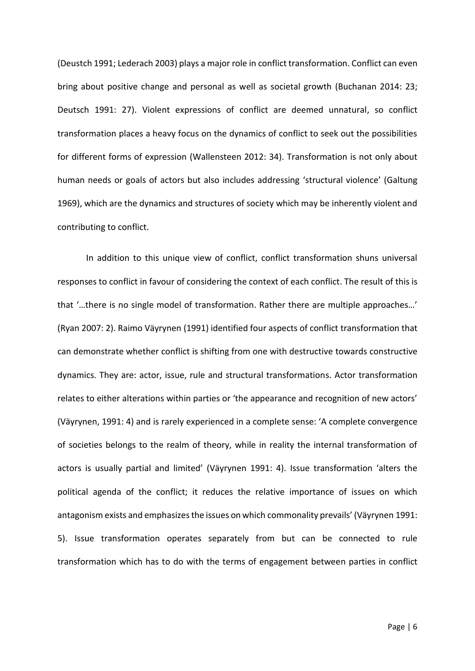(Deustch 1991; Lederach 2003) plays a major role in conflict transformation. Conflict can even bring about positive change and personal as well as societal growth (Buchanan 2014: 23; Deutsch 1991: 27). Violent expressions of conflict are deemed unnatural, so conflict transformation places a heavy focus on the dynamics of conflict to seek out the possibilities for different forms of expression (Wallensteen 2012: 34). Transformation is not only about human needs or goals of actors but also includes addressing 'structural violence' (Galtung 1969), which are the dynamics and structures of society which may be inherently violent and contributing to conflict.

In addition to this unique view of conflict, conflict transformation shuns universal responses to conflict in favour of considering the context of each conflict. The result of this is that '…there is no single model of transformation. Rather there are multiple approaches…' (Ryan 2007: 2). Raimo Väyrynen (1991) identified four aspects of conflict transformation that can demonstrate whether conflict is shifting from one with destructive towards constructive dynamics. They are: actor, issue, rule and structural transformations. Actor transformation relates to either alterations within parties or 'the appearance and recognition of new actors' (Väyrynen, 1991: 4) and is rarely experienced in a complete sense: 'A complete convergence of societies belongs to the realm of theory, while in reality the internal transformation of actors is usually partial and limited' (Väyrynen 1991: 4). Issue transformation 'alters the political agenda of the conflict; it reduces the relative importance of issues on which antagonism exists and emphasizes the issues on which commonality prevails' (Väyrynen 1991: 5). Issue transformation operates separately from but can be connected to rule transformation which has to do with the terms of engagement between parties in conflict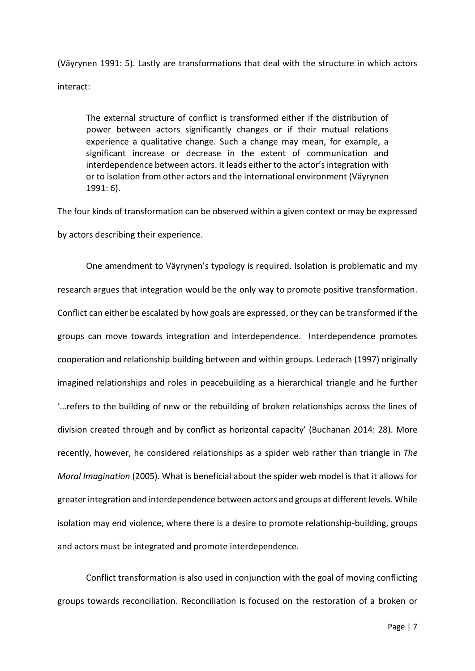(Väyrynen 1991: 5). Lastly are transformations that deal with the structure in which actors interact:

The external structure of conflict is transformed either if the distribution of power between actors significantly changes or if their mutual relations experience a qualitative change. Such a change may mean, for example, a significant increase or decrease in the extent of communication and interdependence between actors. It leads either to the actor's integration with or to isolation from other actors and the international environment (Väyrynen 1991: 6).

The four kinds of transformation can be observed within a given context or may be expressed by actors describing their experience.

One amendment to Väyrynen's typology is required. Isolation is problematic and my research argues that integration would be the only way to promote positive transformation. Conflict can either be escalated by how goals are expressed, or they can be transformed if the groups can move towards integration and interdependence. Interdependence promotes cooperation and relationship building between and within groups. Lederach (1997) originally imagined relationships and roles in peacebuilding as a hierarchical triangle and he further '…refers to the building of new or the rebuilding of broken relationships across the lines of division created through and by conflict as horizontal capacity' (Buchanan 2014: 28). More recently, however, he considered relationships as a spider web rather than triangle in *The Moral Imagination* (2005). What is beneficial about the spider web model is that it allows for greater integration and interdependence between actors and groups at different levels. While isolation may end violence, where there is a desire to promote relationship-building, groups and actors must be integrated and promote interdependence.

Conflict transformation is also used in conjunction with the goal of moving conflicting groups towards reconciliation. Reconciliation is focused on the restoration of a broken or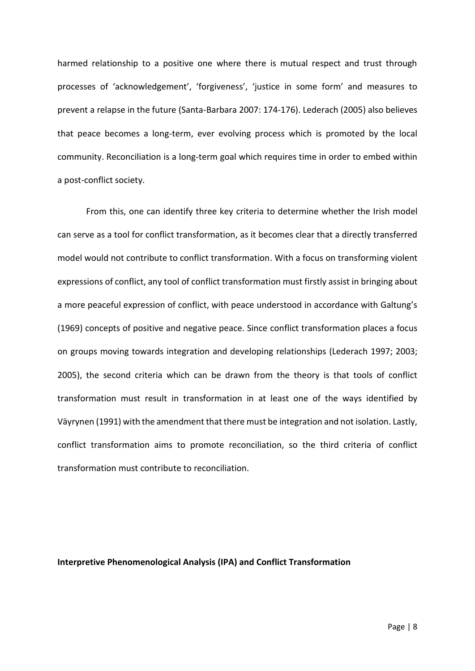harmed relationship to a positive one where there is mutual respect and trust through processes of 'acknowledgement', 'forgiveness', 'justice in some form' and measures to prevent a relapse in the future (Santa-Barbara 2007: 174-176). Lederach (2005) also believes that peace becomes a long-term, ever evolving process which is promoted by the local community. Reconciliation is a long-term goal which requires time in order to embed within a post-conflict society.

From this, one can identify three key criteria to determine whether the Irish model can serve as a tool for conflict transformation, as it becomes clear that a directly transferred model would not contribute to conflict transformation. With a focus on transforming violent expressions of conflict, any tool of conflict transformation must firstly assist in bringing about a more peaceful expression of conflict, with peace understood in accordance with Galtung's (1969) concepts of positive and negative peace. Since conflict transformation places a focus on groups moving towards integration and developing relationships (Lederach 1997; 2003; 2005), the second criteria which can be drawn from the theory is that tools of conflict transformation must result in transformation in at least one of the ways identified by Väyrynen (1991) with the amendment that there must be integration and not isolation. Lastly, conflict transformation aims to promote reconciliation, so the third criteria of conflict transformation must contribute to reconciliation.

## **Interpretive Phenomenological Analysis (IPA) and Conflict Transformation**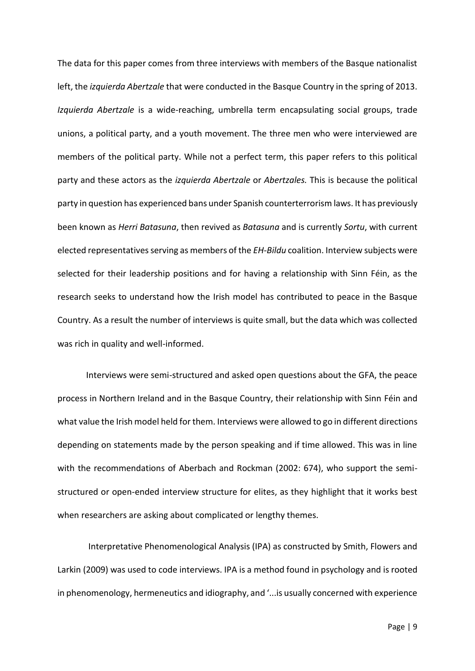The data for this paper comes from three interviews with members of the Basque nationalist left, the *izquierda Abertzale* that were conducted in the Basque Country in the spring of 2013. *Izquierda Abertzale* is a wide-reaching, umbrella term encapsulating social groups, trade unions, a political party, and a youth movement. The three men who were interviewed are members of the political party. While not a perfect term, this paper refers to this political party and these actors as the *izquierda Abertzale* or *Abertzales.* This is because the political party in question has experienced bans under Spanish counterterrorism laws. It has previously been known as *Herri Batasuna*, then revived as *Batasuna* and is currently *Sortu*, with current elected representatives serving as members of the *EH-Bildu* coalition. Interview subjects were selected for their leadership positions and for having a relationship with Sinn Féin, as the research seeks to understand how the Irish model has contributed to peace in the Basque Country. As a result the number of interviews is quite small, but the data which was collected was rich in quality and well-informed.

Interviews were semi-structured and asked open questions about the GFA, the peace process in Northern Ireland and in the Basque Country, their relationship with Sinn Féin and what value the Irish model held for them. Interviews were allowed to go in different directions depending on statements made by the person speaking and if time allowed. This was in line with the recommendations of Aberbach and Rockman (2002: 674), who support the semistructured or open-ended interview structure for elites, as they highlight that it works best when researchers are asking about complicated or lengthy themes.

Interpretative Phenomenological Analysis (IPA) as constructed by Smith, Flowers and Larkin (2009) was used to code interviews. IPA is a method found in psychology and is rooted in phenomenology, hermeneutics and idiography, and '...is usually concerned with experience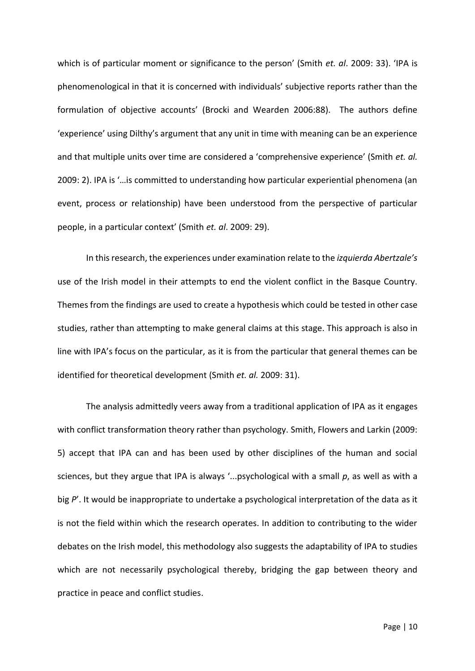which is of particular moment or significance to the person' (Smith *et. al*. 2009: 33). 'IPA is phenomenological in that it is concerned with individuals' subjective reports rather than the formulation of objective accounts' (Brocki and Wearden 2006:88). The authors define 'experience' using Dilthy's argument that any unit in time with meaning can be an experience and that multiple units over time are considered a 'comprehensive experience' (Smith *et. al.* 2009: 2). IPA is '…is committed to understanding how particular experiential phenomena (an event, process or relationship) have been understood from the perspective of particular people, in a particular context' (Smith *et. al*. 2009: 29).

In this research, the experiences under examination relate to the *izquierda Abertzale's* use of the Irish model in their attempts to end the violent conflict in the Basque Country. Themes from the findings are used to create a hypothesis which could be tested in other case studies, rather than attempting to make general claims at this stage. This approach is also in line with IPA's focus on the particular, as it is from the particular that general themes can be identified for theoretical development (Smith *et. al.* 2009: 31).

The analysis admittedly veers away from a traditional application of IPA as it engages with conflict transformation theory rather than psychology. Smith, Flowers and Larkin (2009: 5) accept that IPA can and has been used by other disciplines of the human and social sciences, but they argue that IPA is always '...psychological with a small *p*, as well as with a big P'. It would be inappropriate to undertake a psychological interpretation of the data as it is not the field within which the research operates. In addition to contributing to the wider debates on the Irish model, this methodology also suggests the adaptability of IPA to studies which are not necessarily psychological thereby, bridging the gap between theory and practice in peace and conflict studies.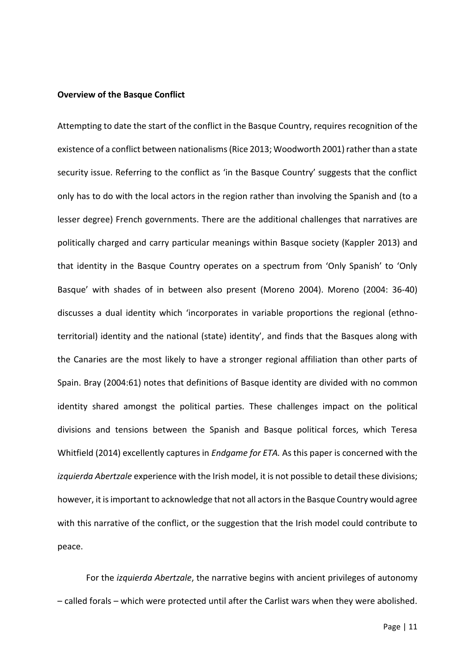#### **Overview of the Basque Conflict**

Attempting to date the start of the conflict in the Basque Country, requires recognition of the existence of a conflict between nationalisms (Rice 2013; Woodworth 2001) rather than a state security issue. Referring to the conflict as 'in the Basque Country' suggests that the conflict only has to do with the local actors in the region rather than involving the Spanish and (to a lesser degree) French governments. There are the additional challenges that narratives are politically charged and carry particular meanings within Basque society (Kappler 2013) and that identity in the Basque Country operates on a spectrum from 'Only Spanish' to 'Only Basque' with shades of in between also present (Moreno 2004). Moreno (2004: 36-40) discusses a dual identity which 'incorporates in variable proportions the regional (ethnoterritorial) identity and the national (state) identity', and finds that the Basques along with the Canaries are the most likely to have a stronger regional affiliation than other parts of Spain. Bray (2004:61) notes that definitions of Basque identity are divided with no common identity shared amongst the political parties. These challenges impact on the political divisions and tensions between the Spanish and Basque political forces, which Teresa Whitfield (2014) excellently captures in *Endgame for ETA.* As this paper is concerned with the *izquierda Abertzale* experience with the Irish model, it is not possible to detail these divisions; however, it isimportant to acknowledge that not all actors in the Basque Country would agree with this narrative of the conflict, or the suggestion that the Irish model could contribute to peace.

For the *izquierda Abertzale*, the narrative begins with ancient privileges of autonomy – called forals – which were protected until after the Carlist wars when they were abolished.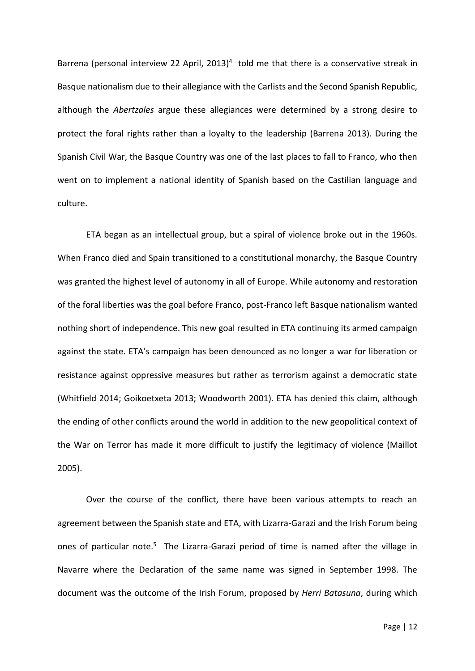Barrena (personal interview 22 April, 2013)<sup>4</sup> told me that there is a conservative streak in Basque nationalism due to their allegiance with the Carlists and the Second Spanish Republic, although the *Abertzales* argue these allegiances were determined by a strong desire to protect the foral rights rather than a loyalty to the leadership (Barrena 2013). During the Spanish Civil War, the Basque Country was one of the last places to fall to Franco, who then went on to implement a national identity of Spanish based on the Castilian language and culture.

ETA began as an intellectual group, but a spiral of violence broke out in the 1960s. When Franco died and Spain transitioned to a constitutional monarchy, the Basque Country was granted the highest level of autonomy in all of Europe. While autonomy and restoration of the foral liberties was the goal before Franco, post-Franco left Basque nationalism wanted nothing short of independence. This new goal resulted in ETA continuing its armed campaign against the state. ETA's campaign has been denounced as no longer a war for liberation or resistance against oppressive measures but rather as terrorism against a democratic state (Whitfield 2014; Goikoetxeta 2013; Woodworth 2001). ETA has denied this claim, although the ending of other conflicts around the world in addition to the new geopolitical context of the War on Terror has made it more difficult to justify the legitimacy of violence (Maillot 2005).

Over the course of the conflict, there have been various attempts to reach an agreement between the Spanish state and ETA, with Lizarra-Garazi and the Irish Forum being ones of particular note.<sup>5</sup> The Lizarra-Garazi period of time is named after the village in Navarre where the Declaration of the same name was signed in September 1998. The document was the outcome of the Irish Forum, proposed by *Herri Batasuna*, during which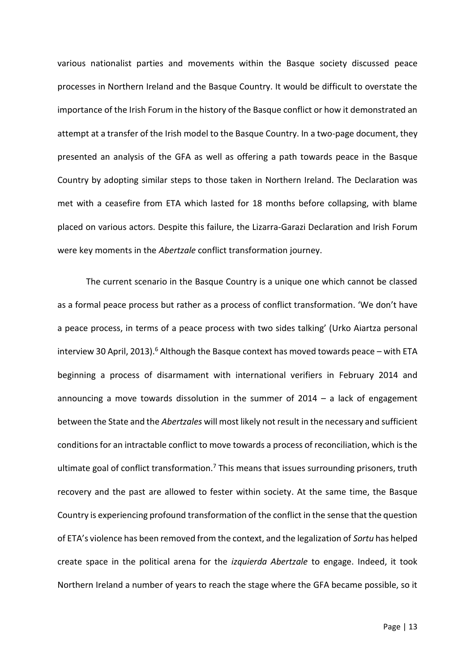various nationalist parties and movements within the Basque society discussed peace processes in Northern Ireland and the Basque Country. It would be difficult to overstate the importance of the Irish Forum in the history of the Basque conflict or how it demonstrated an attempt at a transfer of the Irish model to the Basque Country. In a two-page document, they presented an analysis of the GFA as well as offering a path towards peace in the Basque Country by adopting similar steps to those taken in Northern Ireland. The Declaration was met with a ceasefire from ETA which lasted for 18 months before collapsing, with blame placed on various actors. Despite this failure, the Lizarra-Garazi Declaration and Irish Forum were key moments in the *Abertzale* conflict transformation journey.

The current scenario in the Basque Country is a unique one which cannot be classed as a formal peace process but rather as a process of conflict transformation. 'We don't have a peace process, in terms of a peace process with two sides talking' (Urko Aiartza personal interview 30 April, 2013).<sup>6</sup> Although the Basque context has moved towards peace – with ETA beginning a process of disarmament with international verifiers in February 2014 and announcing a move towards dissolution in the summer of  $2014 - a$  lack of engagement between the State and the *Abertzales* will most likely not result in the necessary and sufficient conditions for an intractable conflict to move towards a process of reconciliation, which is the ultimate goal of conflict transformation.<sup>7</sup> This means that issues surrounding prisoners, truth recovery and the past are allowed to fester within society. At the same time, the Basque Country is experiencing profound transformation of the conflict in the sense that the question of ETA's violence has been removed from the context, and the legalization of *Sortu* has helped create space in the political arena for the *izquierda Abertzale* to engage. Indeed, it took Northern Ireland a number of years to reach the stage where the GFA became possible, so it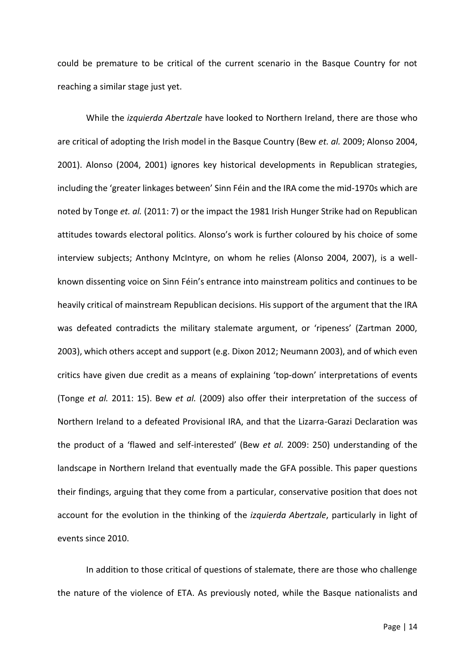could be premature to be critical of the current scenario in the Basque Country for not reaching a similar stage just yet.

While the *izquierda Abertzale* have looked to Northern Ireland, there are those who are critical of adopting the Irish model in the Basque Country (Bew *et. al.* 2009; Alonso 2004, 2001). Alonso (2004, 2001) ignores key historical developments in Republican strategies, including the 'greater linkages between' Sinn Féin and the IRA come the mid-1970s which are noted by Tonge *et. al.* (2011: 7) or the impact the 1981 Irish Hunger Strike had on Republican attitudes towards electoral politics. Alonso's work is further coloured by his choice of some interview subjects; Anthony McIntyre, on whom he relies (Alonso 2004, 2007), is a wellknown dissenting voice on Sinn Féin's entrance into mainstream politics and continues to be heavily critical of mainstream Republican decisions. His support of the argument that the IRA was defeated contradicts the military stalemate argument, or 'ripeness' (Zartman 2000, 2003), which others accept and support (e.g. Dixon 2012; Neumann 2003), and of which even critics have given due credit as a means of explaining 'top-down' interpretations of events (Tonge *et al.* 2011: 15). Bew *et al.* (2009) also offer their interpretation of the success of Northern Ireland to a defeated Provisional IRA, and that the Lizarra-Garazi Declaration was the product of a 'flawed and self-interested' (Bew *et al.* 2009: 250) understanding of the landscape in Northern Ireland that eventually made the GFA possible. This paper questions their findings, arguing that they come from a particular, conservative position that does not account for the evolution in the thinking of the *izquierda Abertzale*, particularly in light of events since 2010.

In addition to those critical of questions of stalemate, there are those who challenge the nature of the violence of ETA. As previously noted, while the Basque nationalists and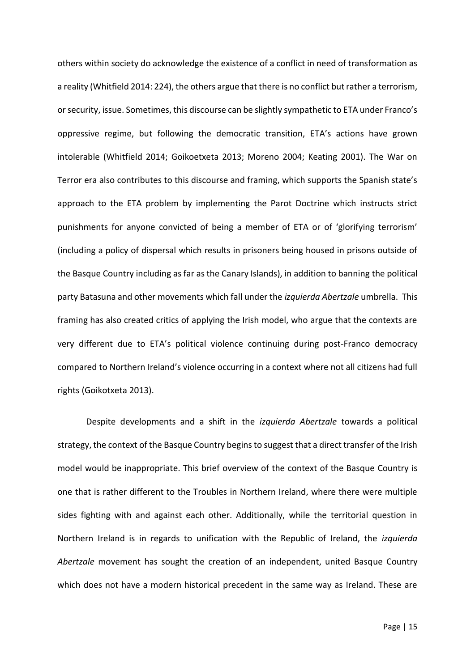others within society do acknowledge the existence of a conflict in need of transformation as a reality (Whitfield 2014: 224), the others argue that there is no conflict but rather a terrorism, or security, issue. Sometimes, this discourse can be slightly sympathetic to ETA under Franco's oppressive regime, but following the democratic transition, ETA's actions have grown intolerable (Whitfield 2014; Goikoetxeta 2013; Moreno 2004; Keating 2001). The War on Terror era also contributes to this discourse and framing, which supports the Spanish state's approach to the ETA problem by implementing the Parot Doctrine which instructs strict punishments for anyone convicted of being a member of ETA or of 'glorifying terrorism' (including a policy of dispersal which results in prisoners being housed in prisons outside of the Basque Country including as far as the Canary Islands), in addition to banning the political party Batasuna and other movements which fall under the *izquierda Abertzale* umbrella. This framing has also created critics of applying the Irish model, who argue that the contexts are very different due to ETA's political violence continuing during post-Franco democracy compared to Northern Ireland's violence occurring in a context where not all citizens had full rights (Goikotxeta 2013).

Despite developments and a shift in the *izquierda Abertzale* towards a political strategy, the context of the Basque Country begins to suggest that a direct transfer of the Irish model would be inappropriate. This brief overview of the context of the Basque Country is one that is rather different to the Troubles in Northern Ireland, where there were multiple sides fighting with and against each other. Additionally, while the territorial question in Northern Ireland is in regards to unification with the Republic of Ireland, the *izquierda Abertzale* movement has sought the creation of an independent, united Basque Country which does not have a modern historical precedent in the same way as Ireland. These are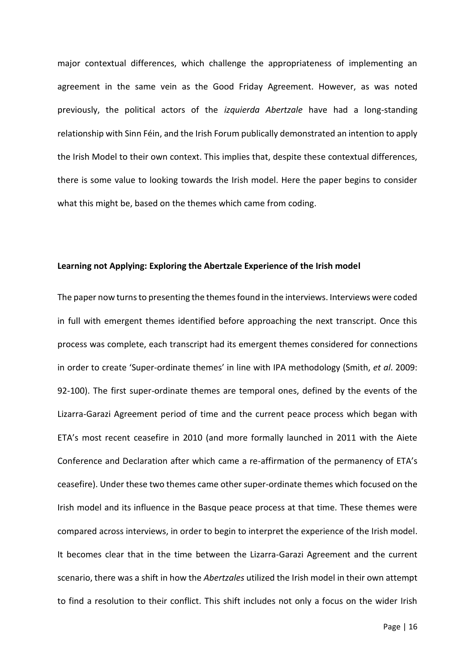major contextual differences, which challenge the appropriateness of implementing an agreement in the same vein as the Good Friday Agreement. However, as was noted previously, the political actors of the *izquierda Abertzale* have had a long-standing relationship with Sinn Féin, and the Irish Forum publically demonstrated an intention to apply the Irish Model to their own context. This implies that, despite these contextual differences, there is some value to looking towards the Irish model. Here the paper begins to consider what this might be, based on the themes which came from coding.

## **Learning not Applying: Exploring the Abertzale Experience of the Irish model**

The paper now turns to presenting the themes found in the interviews. Interviews were coded in full with emergent themes identified before approaching the next transcript. Once this process was complete, each transcript had its emergent themes considered for connections in order to create 'Super-ordinate themes' in line with IPA methodology (Smith, *et al*. 2009: 92-100). The first super-ordinate themes are temporal ones, defined by the events of the Lizarra-Garazi Agreement period of time and the current peace process which began with ETA's most recent ceasefire in 2010 (and more formally launched in 2011 with the Aiete Conference and Declaration after which came a re-affirmation of the permanency of ETA's ceasefire). Under these two themes came other super-ordinate themes which focused on the Irish model and its influence in the Basque peace process at that time. These themes were compared across interviews, in order to begin to interpret the experience of the Irish model. It becomes clear that in the time between the Lizarra-Garazi Agreement and the current scenario, there was a shift in how the *Abertzales* utilized the Irish model in their own attempt to find a resolution to their conflict. This shift includes not only a focus on the wider Irish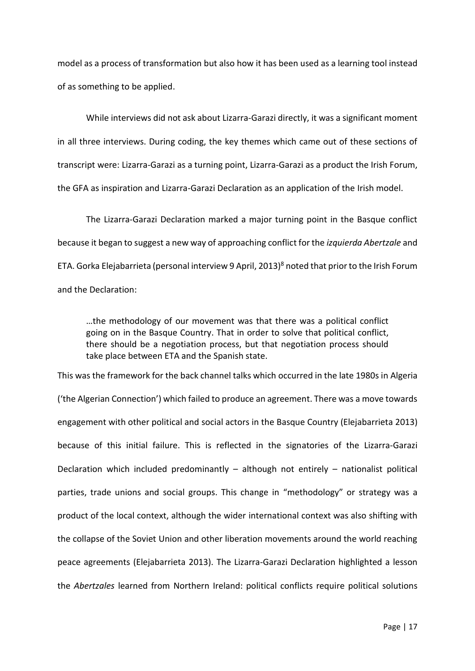model as a process of transformation but also how it has been used as a learning tool instead of as something to be applied.

While interviews did not ask about Lizarra-Garazi directly, it was a significant moment in all three interviews. During coding, the key themes which came out of these sections of transcript were: Lizarra-Garazi as a turning point, Lizarra-Garazi as a product the Irish Forum, the GFA as inspiration and Lizarra-Garazi Declaration as an application of the Irish model.

The Lizarra-Garazi Declaration marked a major turning point in the Basque conflict because it began to suggest a new way of approaching conflict for the *izquierda Abertzale* and ETA. Gorka Elejabarrieta (personal interview 9 April, 2013)<sup>8</sup> noted that prior to the Irish Forum and the Declaration:

…the methodology of our movement was that there was a political conflict going on in the Basque Country. That in order to solve that political conflict, there should be a negotiation process, but that negotiation process should take place between ETA and the Spanish state.

This was the framework for the back channel talks which occurred in the late 1980s in Algeria ('the Algerian Connection') which failed to produce an agreement. There was a move towards engagement with other political and social actors in the Basque Country (Elejabarrieta 2013) because of this initial failure. This is reflected in the signatories of the Lizarra-Garazi Declaration which included predominantly  $-$  although not entirely  $-$  nationalist political parties, trade unions and social groups. This change in "methodology" or strategy was a product of the local context, although the wider international context was also shifting with the collapse of the Soviet Union and other liberation movements around the world reaching peace agreements (Elejabarrieta 2013). The Lizarra-Garazi Declaration highlighted a lesson the *Abertzales* learned from Northern Ireland: political conflicts require political solutions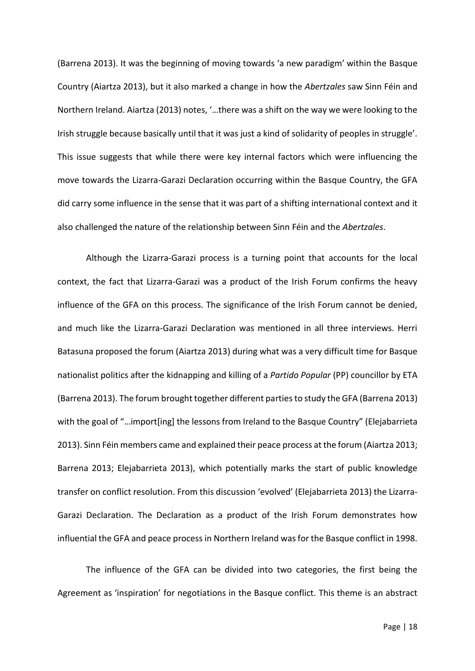(Barrena 2013). It was the beginning of moving towards 'a new paradigm' within the Basque Country (Aiartza 2013), but it also marked a change in how the *Abertzales* saw Sinn Féin and Northern Ireland. Aiartza (2013) notes, '…there was a shift on the way we were looking to the Irish struggle because basically until that it was just a kind of solidarity of peoples in struggle'. This issue suggests that while there were key internal factors which were influencing the move towards the Lizarra-Garazi Declaration occurring within the Basque Country, the GFA did carry some influence in the sense that it was part of a shifting international context and it also challenged the nature of the relationship between Sinn Féin and the *Abertzales*.

Although the Lizarra-Garazi process is a turning point that accounts for the local context, the fact that Lizarra-Garazi was a product of the Irish Forum confirms the heavy influence of the GFA on this process. The significance of the Irish Forum cannot be denied, and much like the Lizarra-Garazi Declaration was mentioned in all three interviews. Herri Batasuna proposed the forum (Aiartza 2013) during what was a very difficult time for Basque nationalist politics after the kidnapping and killing of a *Partido Popular* (PP) councillor by ETA (Barrena 2013). The forum brought together different parties to study the GFA (Barrena 2013) with the goal of "...import[ing] the lessons from Ireland to the Basque Country" (Elejabarrieta 2013). Sinn Féin members came and explained their peace process at the forum (Aiartza 2013; Barrena 2013; Elejabarrieta 2013), which potentially marks the start of public knowledge transfer on conflict resolution. From this discussion 'evolved' (Elejabarrieta 2013) the Lizarra-Garazi Declaration. The Declaration as a product of the Irish Forum demonstrates how influential the GFA and peace process in Northern Ireland was for the Basque conflict in 1998.

The influence of the GFA can be divided into two categories, the first being the Agreement as 'inspiration' for negotiations in the Basque conflict. This theme is an abstract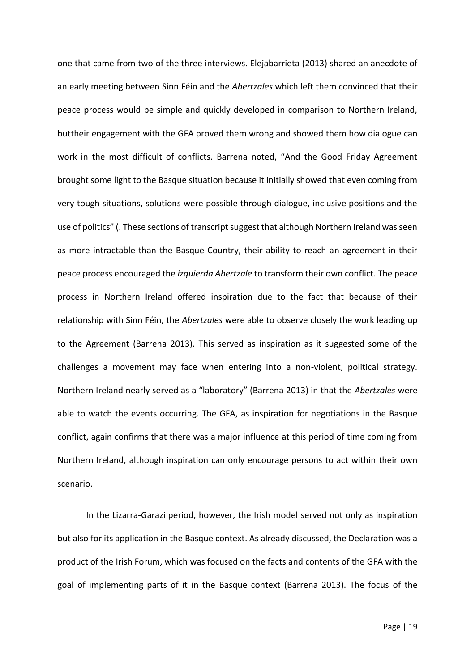one that came from two of the three interviews. Elejabarrieta (2013) shared an anecdote of an early meeting between Sinn Féin and the *Abertzales* which left them convinced that their peace process would be simple and quickly developed in comparison to Northern Ireland, buttheir engagement with the GFA proved them wrong and showed them how dialogue can work in the most difficult of conflicts. Barrena noted, "And the Good Friday Agreement brought some light to the Basque situation because it initially showed that even coming from very tough situations, solutions were possible through dialogue, inclusive positions and the use of politics" (. These sections of transcript suggest that although Northern Ireland was seen as more intractable than the Basque Country, their ability to reach an agreement in their peace process encouraged the *izquierda Abertzale* to transform their own conflict. The peace process in Northern Ireland offered inspiration due to the fact that because of their relationship with Sinn Féin, the *Abertzales* were able to observe closely the work leading up to the Agreement (Barrena 2013). This served as inspiration as it suggested some of the challenges a movement may face when entering into a non-violent, political strategy. Northern Ireland nearly served as a "laboratory" (Barrena 2013) in that the *Abertzales* were able to watch the events occurring. The GFA, as inspiration for negotiations in the Basque conflict, again confirms that there was a major influence at this period of time coming from Northern Ireland, although inspiration can only encourage persons to act within their own scenario.

In the Lizarra-Garazi period, however, the Irish model served not only as inspiration but also for its application in the Basque context. As already discussed, the Declaration was a product of the Irish Forum, which was focused on the facts and contents of the GFA with the goal of implementing parts of it in the Basque context (Barrena 2013). The focus of the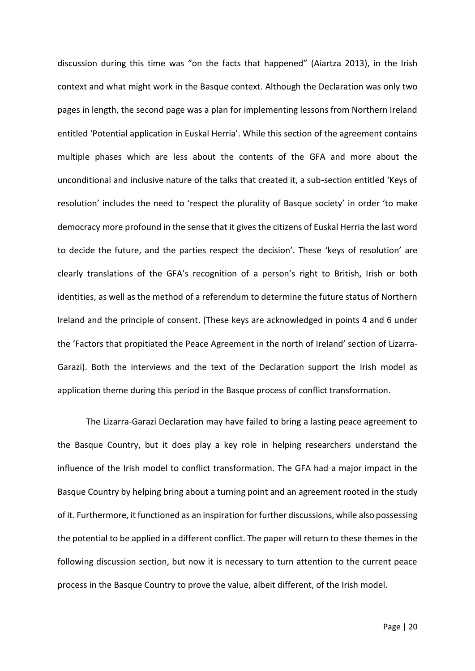discussion during this time was "on the facts that happened" (Aiartza 2013), in the Irish context and what might work in the Basque context. Although the Declaration was only two pages in length, the second page was a plan for implementing lessons from Northern Ireland entitled 'Potential application in Euskal Herria'. While this section of the agreement contains multiple phases which are less about the contents of the GFA and more about the unconditional and inclusive nature of the talks that created it, a sub-section entitled 'Keys of resolution' includes the need to 'respect the plurality of Basque society' in order 'to make democracy more profound in the sense that it gives the citizens of Euskal Herria the last word to decide the future, and the parties respect the decision'. These 'keys of resolution' are clearly translations of the GFA's recognition of a person's right to British, Irish or both identities, as well as the method of a referendum to determine the future status of Northern Ireland and the principle of consent. (These keys are acknowledged in points 4 and 6 under the 'Factors that propitiated the Peace Agreement in the north of Ireland' section of Lizarra-Garazi). Both the interviews and the text of the Declaration support the Irish model as application theme during this period in the Basque process of conflict transformation.

The Lizarra-Garazi Declaration may have failed to bring a lasting peace agreement to the Basque Country, but it does play a key role in helping researchers understand the influence of the Irish model to conflict transformation. The GFA had a major impact in the Basque Country by helping bring about a turning point and an agreement rooted in the study of it. Furthermore, it functioned as an inspiration for further discussions, while also possessing the potential to be applied in a different conflict. The paper will return to these themes in the following discussion section, but now it is necessary to turn attention to the current peace process in the Basque Country to prove the value, albeit different, of the Irish model.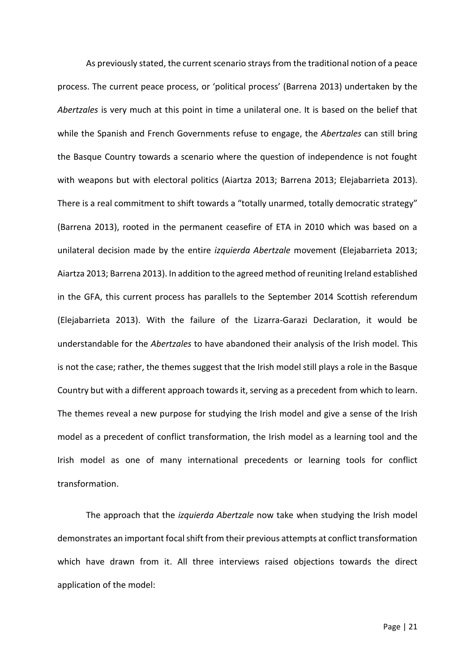As previously stated, the current scenario strays from the traditional notion of a peace process. The current peace process, or 'political process' (Barrena 2013) undertaken by the *Abertzales* is very much at this point in time a unilateral one. It is based on the belief that while the Spanish and French Governments refuse to engage, the *Abertzales* can still bring the Basque Country towards a scenario where the question of independence is not fought with weapons but with electoral politics (Aiartza 2013; Barrena 2013; Elejabarrieta 2013). There is a real commitment to shift towards a "totally unarmed, totally democratic strategy" (Barrena 2013), rooted in the permanent ceasefire of ETA in 2010 which was based on a unilateral decision made by the entire *izquierda Abertzale* movement (Elejabarrieta 2013; Aiartza 2013; Barrena 2013). In addition to the agreed method of reuniting Ireland established in the GFA, this current process has parallels to the September 2014 Scottish referendum (Elejabarrieta 2013). With the failure of the Lizarra-Garazi Declaration, it would be understandable for the *Abertzales* to have abandoned their analysis of the Irish model. This is not the case; rather, the themes suggest that the Irish model still plays a role in the Basque Country but with a different approach towards it, serving as a precedent from which to learn. The themes reveal a new purpose for studying the Irish model and give a sense of the Irish model as a precedent of conflict transformation, the Irish model as a learning tool and the Irish model as one of many international precedents or learning tools for conflict transformation.

The approach that the *izquierda Abertzale* now take when studying the Irish model demonstrates an important focal shift from their previous attempts at conflict transformation which have drawn from it. All three interviews raised objections towards the direct application of the model: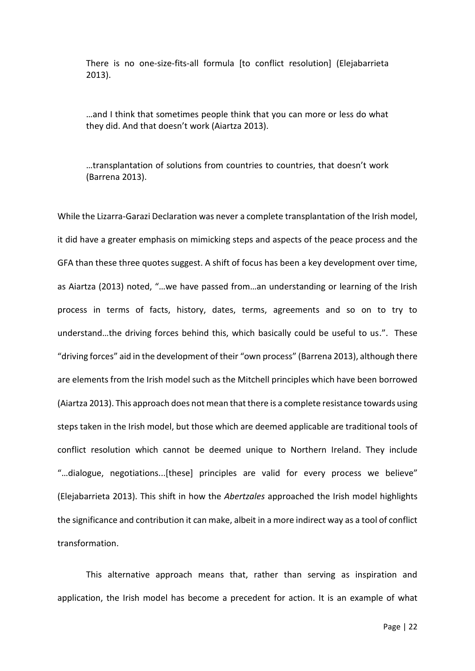There is no one-size-fits-all formula [to conflict resolution] (Elejabarrieta 2013).

…and I think that sometimes people think that you can more or less do what they did. And that doesn't work (Aiartza 2013).

…transplantation of solutions from countries to countries, that doesn't work (Barrena 2013).

While the Lizarra-Garazi Declaration was never a complete transplantation of the Irish model, it did have a greater emphasis on mimicking steps and aspects of the peace process and the GFA than these three quotes suggest. A shift of focus has been a key development over time, as Aiartza (2013) noted, "…we have passed from…an understanding or learning of the Irish process in terms of facts, history, dates, terms, agreements and so on to try to understand…the driving forces behind this, which basically could be useful to us.". These "driving forces" aid in the development of their "own process" (Barrena 2013), although there are elements from the Irish model such as the Mitchell principles which have been borrowed (Aiartza 2013). This approach does not mean that there is a complete resistance towards using steps taken in the Irish model, but those which are deemed applicable are traditional tools of conflict resolution which cannot be deemed unique to Northern Ireland. They include "…dialogue, negotiations...[these] principles are valid for every process we believe" (Elejabarrieta 2013). This shift in how the *Abertzales* approached the Irish model highlights the significance and contribution it can make, albeit in a more indirect way as a tool of conflict transformation.

This alternative approach means that, rather than serving as inspiration and application, the Irish model has become a precedent for action. It is an example of what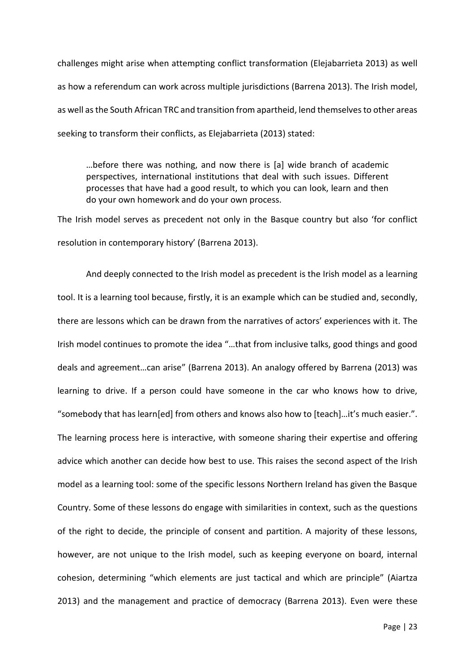challenges might arise when attempting conflict transformation (Elejabarrieta 2013) as well as how a referendum can work across multiple jurisdictions (Barrena 2013). The Irish model, as well as the South African TRC and transition from apartheid, lend themselves to other areas seeking to transform their conflicts, as Elejabarrieta (2013) stated:

…before there was nothing, and now there is [a] wide branch of academic perspectives, international institutions that deal with such issues. Different processes that have had a good result, to which you can look, learn and then do your own homework and do your own process.

The Irish model serves as precedent not only in the Basque country but also 'for conflict resolution in contemporary history' (Barrena 2013).

And deeply connected to the Irish model as precedent is the Irish model as a learning tool. It is a learning tool because, firstly, it is an example which can be studied and, secondly, there are lessons which can be drawn from the narratives of actors' experiences with it. The Irish model continues to promote the idea "…that from inclusive talks, good things and good deals and agreement…can arise" (Barrena 2013). An analogy offered by Barrena (2013) was learning to drive. If a person could have someone in the car who knows how to drive, "somebody that has learn[ed] from others and knows also how to [teach]…it's much easier.". The learning process here is interactive, with someone sharing their expertise and offering advice which another can decide how best to use. This raises the second aspect of the Irish model as a learning tool: some of the specific lessons Northern Ireland has given the Basque Country. Some of these lessons do engage with similarities in context, such as the questions of the right to decide, the principle of consent and partition. A majority of these lessons, however, are not unique to the Irish model, such as keeping everyone on board, internal cohesion, determining "which elements are just tactical and which are principle" (Aiartza 2013) and the management and practice of democracy (Barrena 2013). Even were these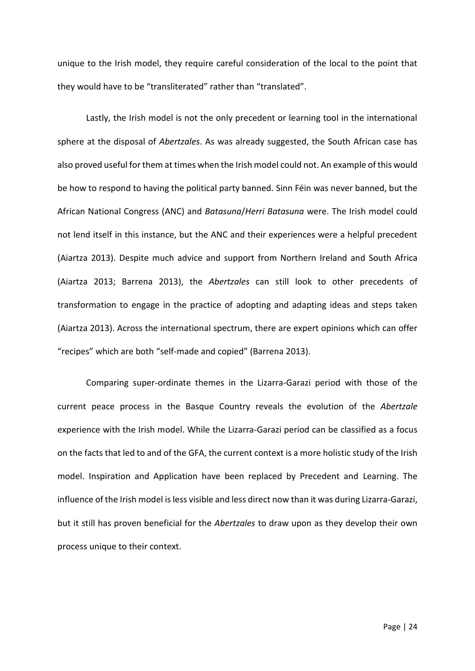unique to the Irish model, they require careful consideration of the local to the point that they would have to be "transliterated" rather than "translated".

Lastly, the Irish model is not the only precedent or learning tool in the international sphere at the disposal of *Abertzales*. As was already suggested, the South African case has also proved useful for them at times when the Irish model could not. An example of this would be how to respond to having the political party banned. Sinn Féin was never banned, but the African National Congress (ANC) and *Batasuna*/*Herri Batasuna* were. The Irish model could not lend itself in this instance, but the ANC and their experiences were a helpful precedent (Aiartza 2013). Despite much advice and support from Northern Ireland and South Africa (Aiartza 2013; Barrena 2013), the *Abertzales* can still look to other precedents of transformation to engage in the practice of adopting and adapting ideas and steps taken (Aiartza 2013). Across the international spectrum, there are expert opinions which can offer "recipes" which are both "self-made and copied" (Barrena 2013).

Comparing super-ordinate themes in the Lizarra-Garazi period with those of the current peace process in the Basque Country reveals the evolution of the *Abertzale* experience with the Irish model. While the Lizarra-Garazi period can be classified as a focus on the facts that led to and of the GFA, the current context is a more holistic study of the Irish model. Inspiration and Application have been replaced by Precedent and Learning. The influence of the Irish model is less visible and less direct now than it was during Lizarra-Garazi, but it still has proven beneficial for the *Abertzales* to draw upon as they develop their own process unique to their context.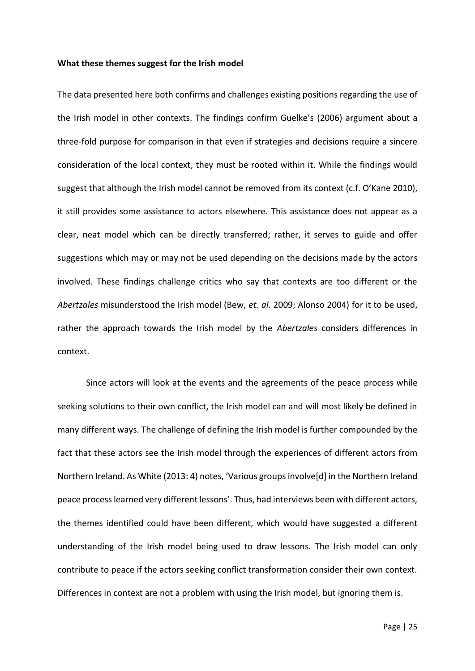#### **What these themes suggest for the Irish model**

The data presented here both confirms and challenges existing positions regarding the use of the Irish model in other contexts. The findings confirm Guelke's (2006) argument about a three-fold purpose for comparison in that even if strategies and decisions require a sincere consideration of the local context, they must be rooted within it. While the findings would suggest that although the Irish model cannot be removed from its context (c.f. O'Kane 2010), it still provides some assistance to actors elsewhere. This assistance does not appear as a clear, neat model which can be directly transferred; rather, it serves to guide and offer suggestions which may or may not be used depending on the decisions made by the actors involved. These findings challenge critics who say that contexts are too different or the *Abertzales* misunderstood the Irish model (Bew, *et. al.* 2009; Alonso 2004) for it to be used, rather the approach towards the Irish model by the *Abertzales* considers differences in context.

Since actors will look at the events and the agreements of the peace process while seeking solutions to their own conflict, the Irish model can and will most likely be defined in many different ways. The challenge of defining the Irish model is further compounded by the fact that these actors see the Irish model through the experiences of different actors from Northern Ireland. As White (2013: 4) notes, 'Various groups involve[d] in the Northern Ireland peace process learned very different lessons'. Thus, had interviews been with different actors, the themes identified could have been different, which would have suggested a different understanding of the Irish model being used to draw lessons. The Irish model can only contribute to peace if the actors seeking conflict transformation consider their own context. Differences in context are not a problem with using the Irish model, but ignoring them is.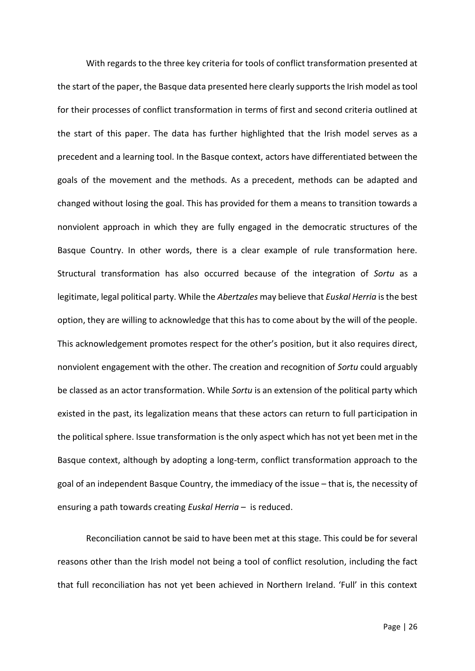With regards to the three key criteria for tools of conflict transformation presented at the start of the paper, the Basque data presented here clearly supports the Irish model as tool for their processes of conflict transformation in terms of first and second criteria outlined at the start of this paper. The data has further highlighted that the Irish model serves as a precedent and a learning tool. In the Basque context, actors have differentiated between the goals of the movement and the methods. As a precedent, methods can be adapted and changed without losing the goal. This has provided for them a means to transition towards a nonviolent approach in which they are fully engaged in the democratic structures of the Basque Country. In other words, there is a clear example of rule transformation here. Structural transformation has also occurred because of the integration of *Sortu* as a legitimate, legal political party. While the *Abertzales* may believe that *Euskal Herria* is the best option, they are willing to acknowledge that this has to come about by the will of the people. This acknowledgement promotes respect for the other's position, but it also requires direct, nonviolent engagement with the other. The creation and recognition of *Sortu* could arguably be classed as an actor transformation. While *Sortu* is an extension of the political party which existed in the past, its legalization means that these actors can return to full participation in the political sphere. Issue transformation is the only aspect which has not yet been met in the Basque context, although by adopting a long-term, conflict transformation approach to the goal of an independent Basque Country, the immediacy of the issue – that is, the necessity of ensuring a path towards creating *Euskal Herria* – is reduced.

Reconciliation cannot be said to have been met at this stage. This could be for several reasons other than the Irish model not being a tool of conflict resolution, including the fact that full reconciliation has not yet been achieved in Northern Ireland. 'Full' in this context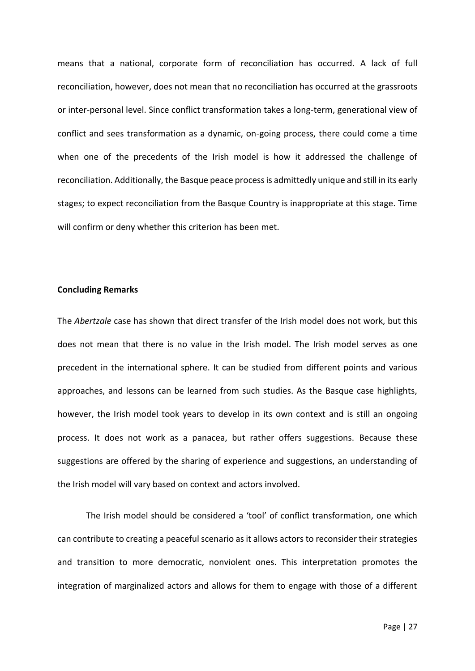means that a national, corporate form of reconciliation has occurred. A lack of full reconciliation, however, does not mean that no reconciliation has occurred at the grassroots or inter-personal level. Since conflict transformation takes a long-term, generational view of conflict and sees transformation as a dynamic, on-going process, there could come a time when one of the precedents of the Irish model is how it addressed the challenge of reconciliation. Additionally, the Basque peace process is admittedly unique and still in its early stages; to expect reconciliation from the Basque Country is inappropriate at this stage. Time will confirm or deny whether this criterion has been met.

## **Concluding Remarks**

The *Abertzale* case has shown that direct transfer of the Irish model does not work, but this does not mean that there is no value in the Irish model. The Irish model serves as one precedent in the international sphere. It can be studied from different points and various approaches, and lessons can be learned from such studies. As the Basque case highlights, however, the Irish model took years to develop in its own context and is still an ongoing process. It does not work as a panacea, but rather offers suggestions. Because these suggestions are offered by the sharing of experience and suggestions, an understanding of the Irish model will vary based on context and actors involved.

The Irish model should be considered a 'tool' of conflict transformation, one which can contribute to creating a peaceful scenario as it allows actors to reconsider their strategies and transition to more democratic, nonviolent ones. This interpretation promotes the integration of marginalized actors and allows for them to engage with those of a different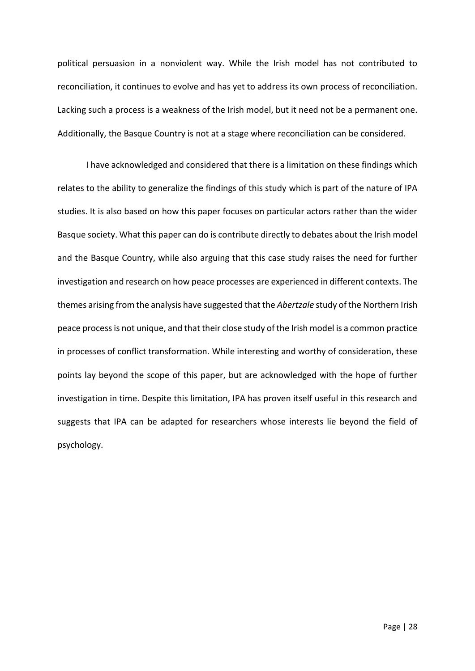political persuasion in a nonviolent way. While the Irish model has not contributed to reconciliation, it continues to evolve and has yet to address its own process of reconciliation. Lacking such a process is a weakness of the Irish model, but it need not be a permanent one. Additionally, the Basque Country is not at a stage where reconciliation can be considered.

I have acknowledged and considered that there is a limitation on these findings which relates to the ability to generalize the findings of this study which is part of the nature of IPA studies. It is also based on how this paper focuses on particular actors rather than the wider Basque society. What this paper can do is contribute directly to debates about the Irish model and the Basque Country, while also arguing that this case study raises the need for further investigation and research on how peace processes are experienced in different contexts. The themes arising from the analysis have suggested that the *Abertzale* study of the Northern Irish peace process is not unique, and that their close study of the Irish model is a common practice in processes of conflict transformation. While interesting and worthy of consideration, these points lay beyond the scope of this paper, but are acknowledged with the hope of further investigation in time. Despite this limitation, IPA has proven itself useful in this research and suggests that IPA can be adapted for researchers whose interests lie beyond the field of psychology.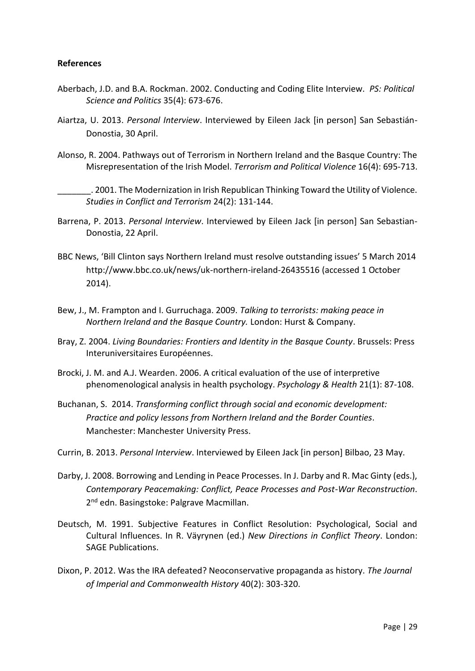# **References**

- Aberbach, J.D. and B.A. Rockman. 2002. Conducting and Coding Elite Interview. *PS: Political Science and Politics* 35(4): 673-676.
- Aiartza, U. 2013. *Personal Interview*. Interviewed by Eileen Jack [in person] San Sebastián-Donostia, 30 April.
- Alonso, R. 2004. Pathways out of Terrorism in Northern Ireland and the Basque Country: The Misrepresentation of the Irish Model. *Terrorism and Political Violence* 16(4): 695-713.
	- \_\_\_\_\_\_\_. 2001. The Modernization in Irish Republican Thinking Toward the Utility of Violence. *Studies in Conflict and Terrorism* 24(2): 131-144.
- Barrena, P. 2013. *Personal Interview*. Interviewed by Eileen Jack [in person] San Sebastian-Donostia, 22 April.
- BBC News, 'Bill Clinton says Northern Ireland must resolve outstanding issues' 5 March 2014 http://www.bbc.co.uk/news/uk-northern-ireland-26435516 (accessed 1 October 2014).
- Bew, J., M. Frampton and I. Gurruchaga. 2009. *Talking to terrorists: making peace in Northern Ireland and the Basque Country.* London: Hurst & Company.
- Bray, Z. 2004. *Living Boundaries: Frontiers and Identity in the Basque County*. Brussels: Press Interuniversitaires Européennes.
- Brocki, J. M. and A.J. Wearden. 2006. A critical evaluation of the use of interpretive phenomenological analysis in health psychology. *Psychology & Health* 21(1): 87-108.
- Buchanan, S. 2014. *Transforming conflict through social and economic development: Practice and policy lessons from Northern Ireland and the Border Counties*. Manchester: Manchester University Press.
- Currin, B. 2013. *Personal Interview*. Interviewed by Eileen Jack [in person] Bilbao, 23 May.
- Darby, J. 2008. Borrowing and Lending in Peace Processes. In J. Darby and R. Mac Ginty (eds.), *Contemporary Peacemaking: Conflict, Peace Processes and Post-War Reconstruction*. 2<sup>nd</sup> edn. Basingstoke: Palgrave Macmillan.
- Deutsch, M. 1991. Subjective Features in Conflict Resolution: Psychological, Social and Cultural Influences. In R. Väyrynen (ed.) *New Directions in Conflict Theory*. London: SAGE Publications.
- Dixon, P. 2012. Was the IRA defeated? Neoconservative propaganda as history. *The Journal of Imperial and Commonwealth History* 40(2): 303-320.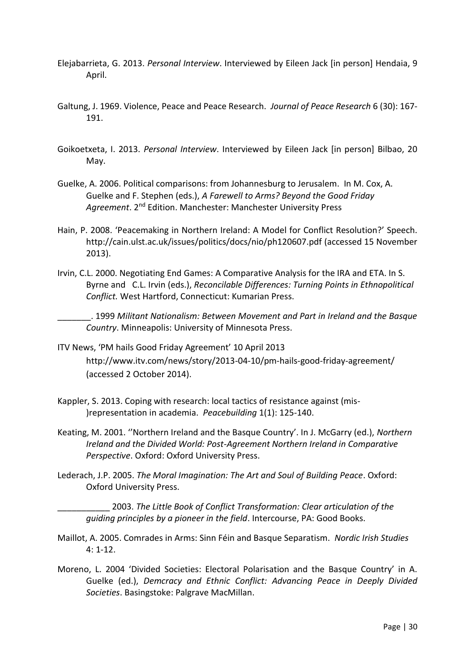- Elejabarrieta, G. 2013. *Personal Interview*. Interviewed by Eileen Jack [in person] Hendaia, 9 April.
- Galtung, J. 1969. Violence, Peace and Peace Research. *Journal of Peace Research* 6 (30): 167- 191.
- Goikoetxeta, I. 2013. *Personal Interview*. Interviewed by Eileen Jack [in person] Bilbao, 20 May.
- Guelke, A. 2006. Political comparisons: from Johannesburg to Jerusalem. In M. Cox, A. Guelke and F. Stephen (eds.), *A Farewell to Arms? Beyond the Good Friday Agreement*. 2nd Edition. Manchester: Manchester University Press
- Hain, P. 2008. 'Peacemaking in Northern Ireland: A Model for Conflict Resolution?' Speech. http://cain.ulst.ac.uk/issues/politics/docs/nio/ph120607.pdf (accessed 15 November 2013).
- Irvin, C.L. 2000. Negotiating End Games: A Comparative Analysis for the IRA and ETA. In S. Byrne and C.L. Irvin (eds.), *Reconcilable Differences: Turning Points in Ethnopolitical Conflict.* West Hartford, Connecticut: Kumarian Press.

\_\_\_\_\_\_\_. 1999 *Militant Nationalism: Between Movement and Part in Ireland and the Basque Country*. Minneapolis: University of Minnesota Press.

- ITV News, 'PM hails Good Friday Agreement' 10 April 2013 http://www.itv.com/news/story/2013-04-10/pm-hails-good-friday-agreement/ (accessed 2 October 2014).
- Kappler, S. 2013. Coping with research: local tactics of resistance against (mis- )representation in academia. *Peacebuilding* 1(1): 125-140.
- Keating, M. 2001. ''Northern Ireland and the Basque Country'. In J. McGarry (ed.), *Northern Ireland and the Divided World: Post-Agreement Northern Ireland in Comparative Perspective*. Oxford: Oxford University Press.
- Lederach, J.P. 2005. *The Moral Imagination: The Art and Soul of Building Peace*. Oxford: Oxford University Press.

\_\_\_\_\_\_\_\_\_\_\_ 2003. *The Little Book of Conflict Transformation: Clear articulation of the guiding principles by a pioneer in the field*. Intercourse, PA: Good Books.

- Maillot, A. 2005. Comrades in Arms: Sinn Féin and Basque Separatism. *Nordic Irish Studies* 4: 1-12.
- Moreno, L. 2004 'Divided Societies: Electoral Polarisation and the Basque Country' in A. Guelke (ed.), *Demcracy and Ethnic Conflict: Advancing Peace in Deeply Divided Societies*. Basingstoke: Palgrave MacMillan.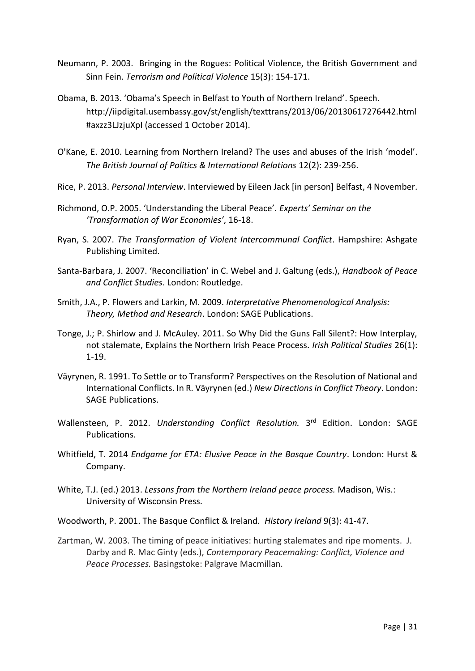- Neumann, P. 2003. Bringing in the Rogues: Political Violence, the British Government and Sinn Fein. *Terrorism and Political Violence* 15(3): 154-171.
- Obama, B. 2013. 'Obama's Speech in Belfast to Youth of Northern Ireland'. Speech. http://iipdigital.usembassy.gov/st/english/texttrans/2013/06/20130617276442.html #axzz3LJzjuXpI (accessed 1 October 2014).
- O'Kane, E. 2010. Learning from Northern Ireland? The uses and abuses of the Irish 'model'. *The British Journal of Politics & International Relations* 12(2): 239-256.
- Rice, P. 2013. *Personal Interview*. Interviewed by Eileen Jack [in person] Belfast, 4 November.
- Richmond, O.P. 2005. 'Understanding the Liberal Peace'. *Experts' Seminar on the 'Transformation of War Economies'*, 16-18.
- Ryan, S. 2007. *The Transformation of Violent Intercommunal Conflict*. Hampshire: Ashgate Publishing Limited.
- Santa-Barbara, J. 2007. 'Reconciliation' in C. Webel and J. Galtung (eds.), *Handbook of Peace and Conflict Studies*. London: Routledge.
- Smith, J.A., P. Flowers and Larkin, M. 2009. *Interpretative Phenomenological Analysis: Theory, Method and Research*. London: SAGE Publications.
- Tonge, J.; P. Shirlow and J. McAuley. 2011. So Why Did the Guns Fall Silent?: How Interplay, not stalemate, Explains the Northern Irish Peace Process. *Irish Political Studies* 26(1): 1-19.
- Väyrynen, R. 1991. To Settle or to Transform? Perspectives on the Resolution of National and International Conflicts. In R. Väyrynen (ed.) *New Directions in Conflict Theory*. London: SAGE Publications.
- Wallensteen, P. 2012. Understanding Conflict Resolution. 3<sup>rd</sup> Edition. London: SAGE Publications.
- Whitfield, T. 2014 *Endgame for ETA: Elusive Peace in the Basque Country*. London: Hurst & Company.
- White, T.J. (ed.) 2013. *Lessons from the Northern Ireland peace process.* Madison, Wis.: University of Wisconsin Press.
- Woodworth, P. 2001. The Basque Conflict & Ireland. *History Ireland* 9(3): 41-47.
- Zartman, W. 2003. The timing of peace initiatives: hurting stalemates and ripe moments. J. Darby and R. Mac Ginty (eds.), *Contemporary Peacemaking: Conflict, Violence and Peace Processes.* Basingstoke: Palgrave Macmillan.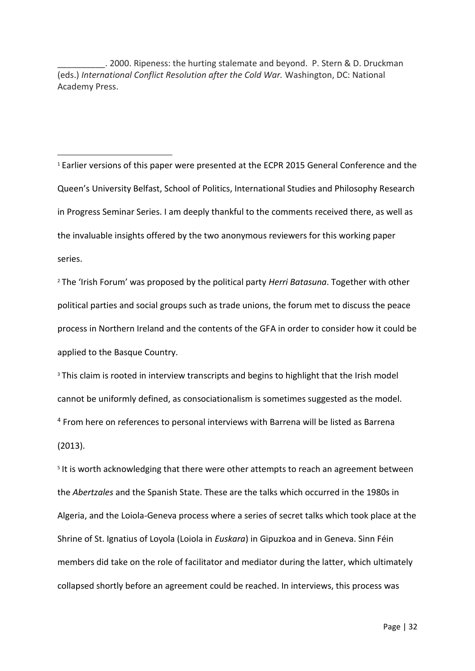\_\_\_\_\_\_\_\_\_\_. 2000. Ripeness: the hurting stalemate and beyond. P. Stern & D. Druckman (eds.) *International Conflict Resolution after the Cold War.* Washington, DC: National Academy Press.

**.** 

<sup>1</sup> Earlier versions of this paper were presented at the ECPR 2015 General Conference and the Queen's University Belfast, School of Politics, International Studies and Philosophy Research in Progress Seminar Series. I am deeply thankful to the comments received there, as well as the invaluable insights offered by the two anonymous reviewers for this working paper series.

<sup>2</sup> The 'Irish Forum' was proposed by the political party *Herri Batasuna*. Together with other political parties and social groups such as trade unions, the forum met to discuss the peace process in Northern Ireland and the contents of the GFA in order to consider how it could be applied to the Basque Country.

<sup>3</sup> This claim is rooted in interview transcripts and begins to highlight that the Irish model cannot be uniformly defined, as consociationalism is sometimes suggested as the model. <sup>4</sup> From here on references to personal interviews with Barrena will be listed as Barrena (2013).

<sup>5</sup> It is worth acknowledging that there were other attempts to reach an agreement between the *Abertzales* and the Spanish State. These are the talks which occurred in the 1980s in Algeria, and the Loiola-Geneva process where a series of secret talks which took place at the Shrine of St. Ignatius of Loyola (Loiola in *Euskara*) in Gipuzkoa and in Geneva. Sinn Féin members did take on the role of facilitator and mediator during the latter, which ultimately collapsed shortly before an agreement could be reached. In interviews, this process was